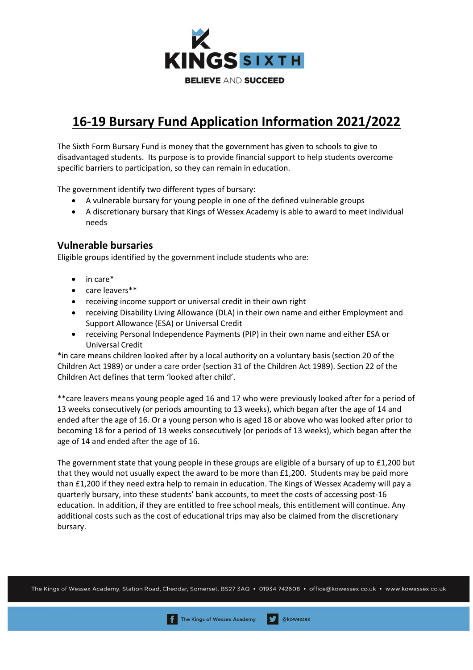

# **16-19 Bursary Fund Application Information 2021/2022**

The Sixth Form Bursary Fund is money that the government has given to schools to give to disadvantaged students. Its purpose is to provide financial support to help students overcome specific barriers to participation, so they can remain in education.

The government identify two different types of bursary:

- A vulnerable bursary for young people in one of the defined vulnerable groups
- A discretionary bursary that Kings of Wessex Academy is able to award to meet individual needs

# **Vulnerable bursaries**

Eligible groups identified by the government include students who are:

- in care\*
- care leavers\*\*
- receiving income support or universal credit in their own right
- receiving Disability Living Allowance (DLA) in their own name and either Employment and Support Allowance (ESA) or Universal Credit
- receiving Personal Independence Payments (PIP) in their own name and either ESA or Universal Credit

\*in care means children looked after by a local authority on a voluntary basis (section 20 of the Children Act 1989) or under a care order (section 31 of the Children Act 1989). Section 22 of the Children Act defines that term 'looked after child'.

\*\*care leavers means young people aged 16 and 17 who were previously looked after for a period of 13 weeks consecutively (or periods amounting to 13 weeks), which began after the age of 14 and ended after the age of 16. Or a young person who is aged 18 or above who was looked after prior to becoming 18 for a period of 13 weeks consecutively (or periods of 13 weeks), which began after the age of 14 and ended after the age of 16.

The government state that young people in these groups are eligible of a bursary of up to £1,200 but that they would not usually expect the award to be more than £1,200. Students may be paid more than £1,200 if they need extra help to remain in education. The Kings of Wessex Academy will pay a quarterly bursary, into these students' bank accounts, to meet the costs of accessing post-16 education. In addition, if they are entitled to free school meals, this entitlement will continue. Any additional costs such as the cost of educational trips may also be claimed from the discretionary bursary.

The Kings of Wessex Academy, Station Road, Cheddar, Somerset, BS27 3AQ · 01934 742608 · office@kowessex.co.uk · www.kowessex.co.uk

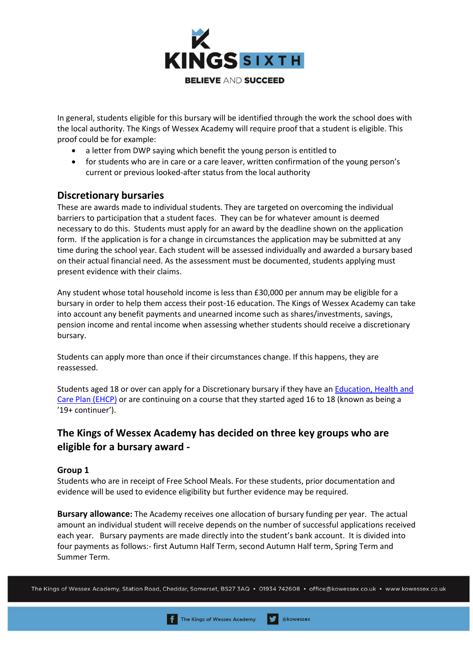

In general, students eligible for this bursary will be identified through the work the school does with the local authority. The Kings of Wessex Academy will require proof that a student is eligible. This proof could be for example:

- a letter from DWP saying which benefit the young person is entitled to
- for students who are in care or a care leaver, written confirmation of the young person's current or previous looked-after status from the local authority

# **Discretionary bursaries**

These are awards made to individual students. They are targeted on overcoming the individual barriers to participation that a student faces. They can be for whatever amount is deemed necessary to do this. Students must apply for an award by the deadline shown on the application form. If the application is for a change in circumstances the application may be submitted at any time during the school year. Each student will be assessed individually and awarded a bursary based on their actual financial need. As the assessment must be documented, students applying must present evidence with their claims.

Any student whose total household income is less than £30,000 per annum may be eligible for a bursary in order to help them access their post-16 education. The Kings of Wessex Academy can take into account any benefit payments and unearned income such as shares/investments, savings, pension income and rental income when assessing whether students should receive a discretionary bursary.

Students can apply more than once if their circumstances change. If this happens, they are reassessed.

Students aged 18 or over can apply for a Discretionary bursary if they have an **Education**, Health and [Care Plan \(EHCP\)](https://www.gov.uk/children-with-special-educational-needs/extra-SEN-help) or are continuing on a course that they started aged 16 to 18 (known as being a '19+ continuer').

# **The Kings of Wessex Academy has decided on three key groups who are eligible for a bursary award -**

## **Group 1**

Students who are in receipt of Free School Meals. For these students, prior documentation and evidence will be used to evidence eligibility but further evidence may be required.

**Bursary allowance:** The Academy receives one allocation of bursary funding per year. The actual amount an individual student will receive depends on the number of successful applications received each year. Bursary payments are made directly into the student's bank account. It is divided into four payments as follows:- first Autumn Half Term, second Autumn Half term, Spring Term and Summer Term.

The Kings of Wessex Academy, Station Road, Cheddar, Somerset, BS27 3AQ · 01934 742608 · office@kowessex.co.uk · www.kowessex.co.uk

akowessex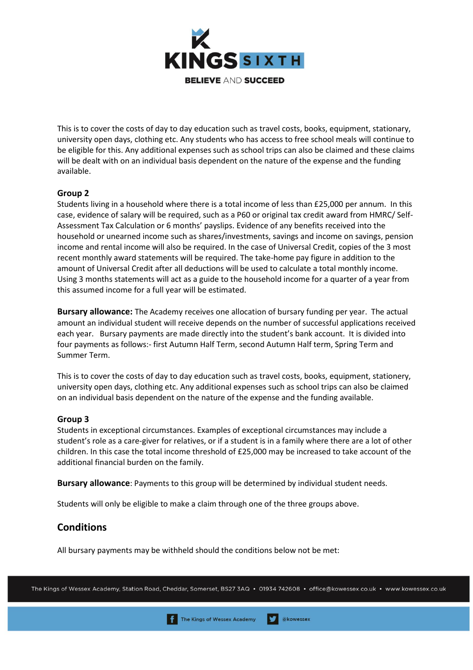

This is to cover the costs of day to day education such as travel costs, books, equipment, stationary, university open days, clothing etc. Any students who has access to free school meals will continue to be eligible for this. Any additional expenses such as school trips can also be claimed and these claims will be dealt with on an individual basis dependent on the nature of the expense and the funding available.

## **Group 2**

Students living in a household where there is a total income of less than £25,000 per annum. In this case, evidence of salary will be required, such as a P60 or original tax credit award from HMRC/ Self-Assessment Tax Calculation or 6 months' payslips. Evidence of any benefits received into the household or unearned income such as shares/investments, savings and income on savings, pension income and rental income will also be required. In the case of Universal Credit, copies of the 3 most recent monthly award statements will be required. The take-home pay figure in addition to the amount of Universal Credit after all deductions will be used to calculate a total monthly income. Using 3 months statements will act as a guide to the household income for a quarter of a year from this assumed income for a full year will be estimated.

**Bursary allowance:** The Academy receives one allocation of bursary funding per year. The actual amount an individual student will receive depends on the number of successful applications received each year. Bursary payments are made directly into the student's bank account. It is divided into four payments as follows:- first Autumn Half Term, second Autumn Half term, Spring Term and Summer Term.

This is to cover the costs of day to day education such as travel costs, books, equipment, stationery, university open days, clothing etc. Any additional expenses such as school trips can also be claimed on an individual basis dependent on the nature of the expense and the funding available.

## **Group 3**

Students in exceptional circumstances. Examples of exceptional circumstances may include a student's role as a care-giver for relatives, or if a student is in a family where there are a lot of other children. In this case the total income threshold of £25,000 may be increased to take account of the additional financial burden on the family.

**Bursary allowance**: Payments to this group will be determined by individual student needs.

Students will only be eligible to make a claim through one of the three groups above.

# **Conditions**

All bursary payments may be withheld should the conditions below not be met:

akowessex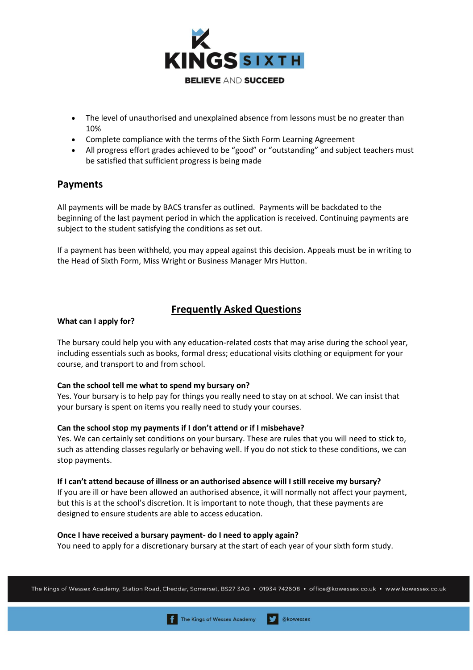

- The level of unauthorised and unexplained absence from lessons must be no greater than 10%
- Complete compliance with the terms of the Sixth Form Learning Agreement
- All progress effort grades achieved to be "good" or "outstanding" and subject teachers must be satisfied that sufficient progress is being made

# **Payments**

All payments will be made by BACS transfer as outlined. Payments will be backdated to the beginning of the last payment period in which the application is received. Continuing payments are subject to the student satisfying the conditions as set out.

If a payment has been withheld, you may appeal against this decision. Appeals must be in writing to the Head of Sixth Form, Miss Wright or Business Manager Mrs Hutton.

# **Frequently Asked Questions**

## **What can I apply for?**

The bursary could help you with any education-related costs that may arise during the school year, including essentials such as books, formal dress; educational visits clothing or equipment for your course, and transport to and from school.

## **Can the school tell me what to spend my bursary on?**

Yes. Your bursary is to help pay for things you really need to stay on at school. We can insist that your bursary is spent on items you really need to study your courses.

## **Can the school stop my payments if I don't attend or if I misbehave?**

Yes. We can certainly set conditions on your bursary. These are rules that you will need to stick to, such as attending classes regularly or behaving well. If you do not stick to these conditions, we can stop payments.

## **If I can't attend because of illness or an authorised absence will I still receive my bursary?**

If you are ill or have been allowed an authorised absence, it will normally not affect your payment, but this is at the school's discretion. It is important to note though, that these payments are designed to ensure students are able to access education.

## **Once I have received a bursary payment- do I need to apply again?**

You need to apply for a discretionary bursary at the start of each year of your sixth form study.

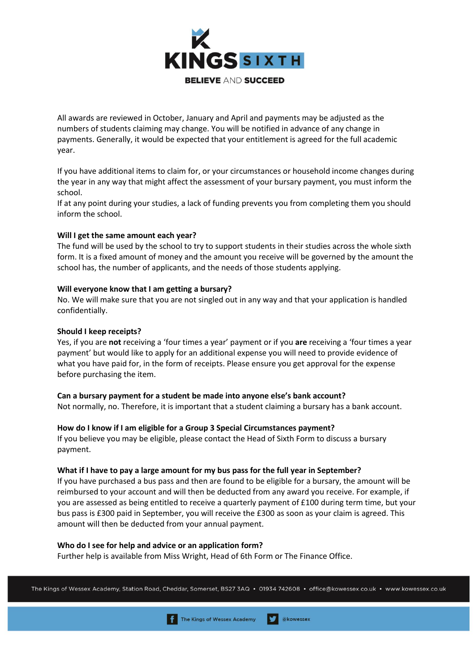

All awards are reviewed in October, January and April and payments may be adjusted as the numbers of students claiming may change. You will be notified in advance of any change in payments. Generally, it would be expected that your entitlement is agreed for the full academic year.

If you have additional items to claim for, or your circumstances or household income changes during the year in any way that might affect the assessment of your bursary payment, you must inform the school.

If at any point during your studies, a lack of funding prevents you from completing them you should inform the school.

#### **Will I get the same amount each year?**

The fund will be used by the school to try to support students in their studies across the whole sixth form. It is a fixed amount of money and the amount you receive will be governed by the amount the school has, the number of applicants, and the needs of those students applying.

#### **Will everyone know that I am getting a bursary?**

No. We will make sure that you are not singled out in any way and that your application is handled confidentially.

#### **Should I keep receipts?**

Yes, if you are **not** receiving a 'four times a year' payment or if you **are** receiving a 'four times a year payment' but would like to apply for an additional expense you will need to provide evidence of what you have paid for, in the form of receipts. Please ensure you get approval for the expense before purchasing the item.

#### **Can a bursary payment for a student be made into anyone else's bank account?**

Not normally, no. Therefore, it is important that a student claiming a bursary has a bank account.

#### **How do I know if I am eligible for a Group 3 Special Circumstances payment?**

If you believe you may be eligible, please contact the Head of Sixth Form to discuss a bursary payment.

#### **What if I have to pay a large amount for my bus pass for the full year in September?**

If you have purchased a bus pass and then are found to be eligible for a bursary, the amount will be reimbursed to your account and will then be deducted from any award you receive. For example, if you are assessed as being entitled to receive a quarterly payment of £100 during term time, but your bus pass is £300 paid in September, you will receive the £300 as soon as your claim is agreed. This amount will then be deducted from your annual payment.

#### **Who do I see for help and advice or an application form?**

Further help is available from Miss Wright, Head of 6th Form or The Finance Office.

The Kings of Wessex Academy, Station Road, Cheddar, Somerset, BS27 3AQ • 01934 742608 • office@kowessex.co.uk • www.kowessex.co.uk

akowessex